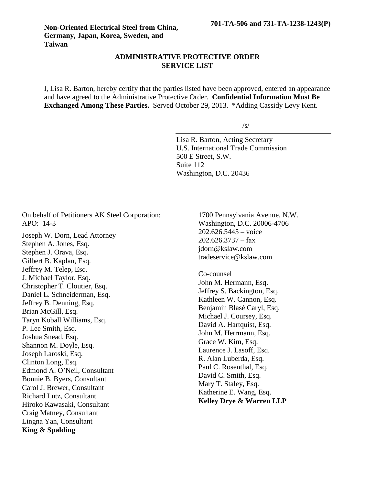## **ADMINISTRATIVE PROTECTIVE ORDER SERVICE LIST**

I, Lisa R. Barton, hereby certify that the parties listed have been approved, entered an appearance and have agreed to the Administrative Protective Order. **Confidential Information Must Be Exchanged Among These Parties.** Served October 29, 2013. \*Adding Cassidy Levy Kent.

/s/

Lisa R. Barton, Acting Secretary U.S. International Trade Commission 500 E Street, S.W. Suite 112 Washington, D.C. 20436

On behalf of Petitioners AK Steel Corporation: APO: 14-3

Joseph W. Dorn, Lead Attorney Stephen A. Jones, Esq. Stephen J. Orava, Esq. Gilbert B. Kaplan, Esq. Jeffrey M. Telep, Esq. J. Michael Taylor, Esq. Christopher T. Cloutier, Esq. Daniel L. Schneiderman, Esq. Jeffrey B. Denning, Esq. Brian McGill, Esq. Taryn Koball Williams, Esq. P. Lee Smith, Esq. Joshua Snead, Esq. Shannon M. Doyle, Esq. Joseph Laroski, Esq. Clinton Long, Esq. Edmond A. O'Neil, Consultant Bonnie B. Byers, Consultant Carol J. Brewer, Consultant Richard Lutz, Consultant Hiroko Kawasaki, Consultant Craig Matney, Consultant Lingna Yan, Consultant **King & Spalding**

1700 Pennsylvania Avenue, N.W. Washington, D.C. 20006-4706 202.626.5445 – voice  $202.626.3737 - fax$ jdorn@kslaw.com tradeservice@kslaw.com

Co-counsel John M. Hermann, Esq. Jeffrey S. Backington, Esq. Kathleen W. Cannon, Esq. Benjamin Blasé Caryl, Esq. Michael J. Coursey, Esq. David A. Hartquist, Esq. John M. Herrmann, Esq. Grace W. Kim, Esq. Laurence J. Lasoff, Esq. R. Alan Luberda, Esq. Paul C. Rosenthal, Esq. David C. Smith, Esq. Mary T. Staley, Esq. Katherine E. Wang, Esq. **Kelley Drye & Warren LLP**